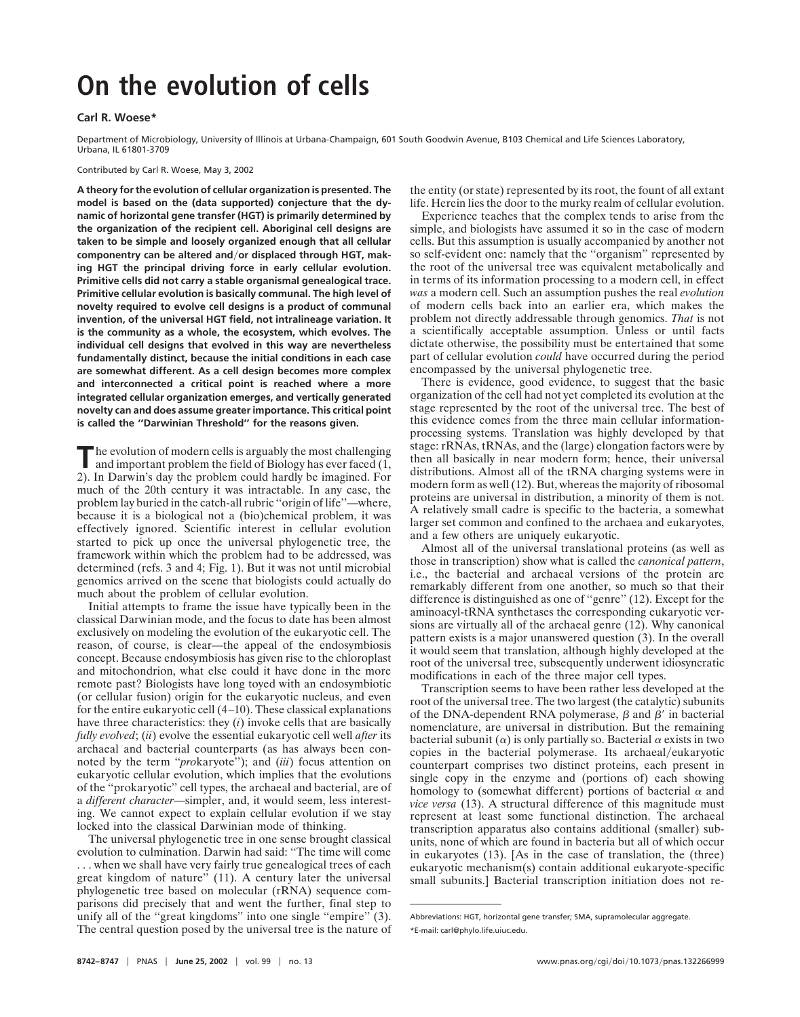# **On the evolution of cells**

# **Carl R. Woese\***

Department of Microbiology, University of Illinois at Urbana-Champaign, 601 South Goodwin Avenue, B103 Chemical and Life Sciences Laboratory, Urbana, IL 61801-3709

#### Contributed by Carl R. Woese, May 3, 2002

**A theory for the evolution of cellular organization is presented. The model is based on the (data supported) conjecture that the dynamic of horizontal gene transfer (HGT) is primarily determined by the organization of the recipient cell. Aboriginal cell designs are taken to be simple and loosely organized enough that all cellular** componentry can be altered and/or displaced through HGT, mak**ing HGT the principal driving force in early cellular evolution. Primitive cells did not carry a stable organismal genealogical trace. Primitive cellular evolution is basically communal. The high level of novelty required to evolve cell designs is a product of communal invention, of the universal HGT field, not intralineage variation. It is the community as a whole, the ecosystem, which evolves. The individual cell designs that evolved in this way are nevertheless fundamentally distinct, because the initial conditions in each case are somewhat different. As a cell design becomes more complex and interconnected a critical point is reached where a more integrated cellular organization emerges, and vertically generated novelty can and does assume greater importance. This critical point is called the ''Darwinian Threshold'' for the reasons given.**

**T** he evolution of modern cells is arguably the most challenging<br>and important problem the field of Biology has ever faced (1) and important problem the field of Biology has ever faced (1, 2). In Darwin's day the problem could hardly be imagined. For much of the 20th century it was intractable. In any case, the problem lay buried in the catch-all rubric ''origin of life''—where, because it is a biological not a (bio)chemical problem, it was effectively ignored. Scientific interest in cellular evolution started to pick up once the universal phylogenetic tree, the framework within which the problem had to be addressed, was determined (refs. 3 and 4; Fig. 1). But it was not until microbial genomics arrived on the scene that biologists could actually do much about the problem of cellular evolution.

Initial attempts to frame the issue have typically been in the classical Darwinian mode, and the focus to date has been almost exclusively on modeling the evolution of the eukaryotic cell. The reason, of course, is clear—the appeal of the endosymbiosis concept. Because endosymbiosis has given rise to the chloroplast and mitochondrion, what else could it have done in the more remote past? Biologists have long toyed with an endosymbiotic (or cellular fusion) origin for the eukaryotic nucleus, and even for the entire eukaryotic cell (4–10). These classical explanations have three characteristics: they (*i*) invoke cells that are basically *fully evolved*; (*ii*) evolve the essential eukaryotic cell well *after* its archaeal and bacterial counterparts (as has always been connoted by the term ''*pro*karyote''); and (*iii*) focus attention on eukaryotic cellular evolution, which implies that the evolutions of the ''prokaryotic'' cell types, the archaeal and bacterial, are of a *different character*—simpler, and, it would seem, less interesting. We cannot expect to explain cellular evolution if we stay locked into the classical Darwinian mode of thinking.

The universal phylogenetic tree in one sense brought classical evolution to culmination. Darwin had said: ''The time will come . . . when we shall have very fairly true genealogical trees of each great kingdom of nature'' (11). A century later the universal phylogenetic tree based on molecular (rRNA) sequence comparisons did precisely that and went the further, final step to unify all of the ''great kingdoms'' into one single ''empire'' (3). The central question posed by the universal tree is the nature of the entity (or state) represented by its root, the fount of all extant life. Herein lies the door to the murky realm of cellular evolution.

Experience teaches that the complex tends to arise from the simple, and biologists have assumed it so in the case of modern cells. But this assumption is usually accompanied by another not so self-evident one: namely that the ''organism'' represented by the root of the universal tree was equivalent metabolically and in terms of its information processing to a modern cell, in effect *was* a modern cell. Such an assumption pushes the real *evolution* of modern cells back into an earlier era, which makes the problem not directly addressable through genomics. *That* is not a scientifically acceptable assumption. Unless or until facts dictate otherwise, the possibility must be entertained that some part of cellular evolution *could* have occurred during the period encompassed by the universal phylogenetic tree.

There is evidence, good evidence, to suggest that the basic organization of the cell had not yet completed its evolution at the stage represented by the root of the universal tree. The best of this evidence comes from the three main cellular informationprocessing systems. Translation was highly developed by that stage: rRNAs, tRNAs, and the (large) elongation factors were by then all basically in near modern form; hence, their universal distributions. Almost all of the tRNA charging systems were in modern form as well (12). But, whereas the majority of ribosomal proteins are universal in distribution, a minority of them is not. A relatively small cadre is specific to the bacteria, a somewhat larger set common and confined to the archaea and eukaryotes, and a few others are uniquely eukaryotic.

Almost all of the universal translational proteins (as well as those in transcription) show what is called the *canonical pattern*, i.e., the bacterial and archaeal versions of the protein are remarkably different from one another, so much so that their difference is distinguished as one of ''genre'' (12). Except for the aminoacyl-tRNA synthetases the corresponding eukaryotic versions are virtually all of the archaeal genre (12). Why canonical pattern exists is a major unanswered question (3). In the overall it would seem that translation, although highly developed at the root of the universal tree, subsequently underwent idiosyncratic modifications in each of the three major cell types.

Transcription seems to have been rather less developed at the root of the universal tree. The two largest (the catalytic) subunits of the DNA-dependent RNA polymerase,  $\beta$  and  $\beta'$  in bacterial nomenclature, are universal in distribution. But the remaining bacterial subunit ( $\alpha$ ) is only partially so. Bacterial  $\alpha$  exists in two copies in the bacterial polymerase. Its archaeal/eukaryotic counterpart comprises two distinct proteins, each present in single copy in the enzyme and (portions of) each showing homology to (somewhat different) portions of bacterial  $\alpha$  and *vice versa* (13). A structural difference of this magnitude must represent at least some functional distinction. The archaeal transcription apparatus also contains additional (smaller) subunits, none of which are found in bacteria but all of which occur in eukaryotes (13). [As in the case of translation, the (three) eukaryotic mechanism(s) contain additional eukaryote-specific small subunits.] Bacterial transcription initiation does not re-

Abbreviations: HGT, horizontal gene transfer; SMA, supramolecular aggregate. \*E-mail: carl@phylo.life.uiuc.edu.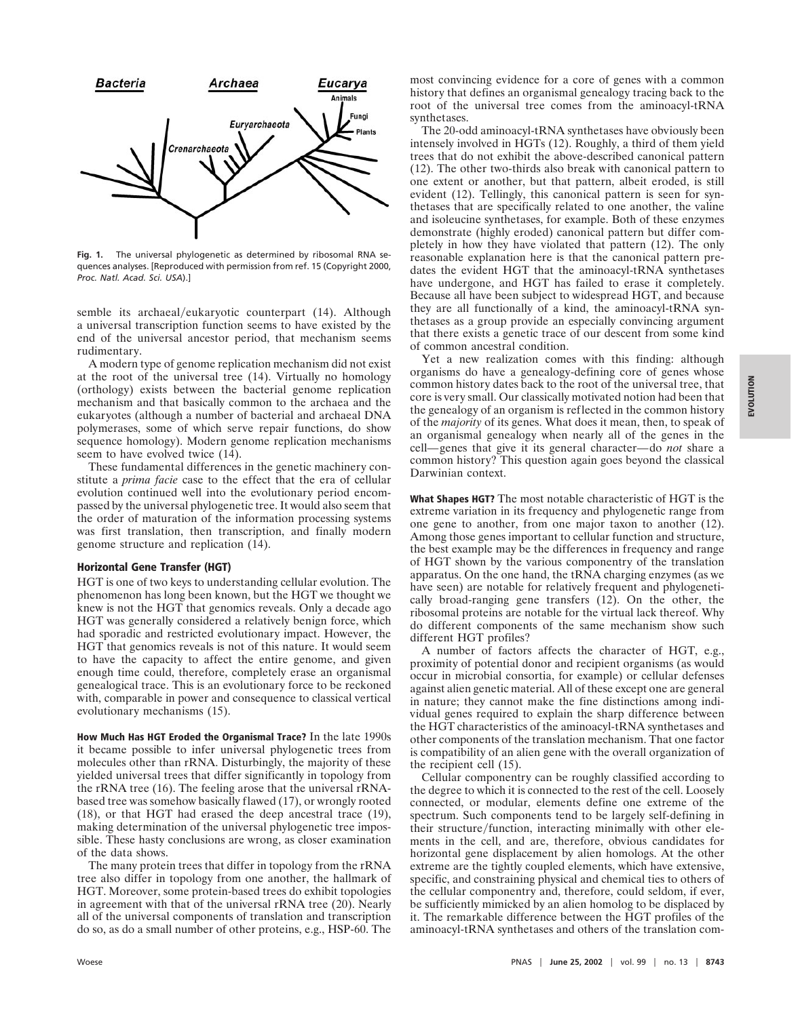

**Fig. 1.** The universal phylogenetic as determined by ribosomal RNA sequences analyses. [Reproduced with permission from ref. 15 (Copyright 2000, *Proc. Natl. Acad. Sci. USA*).]

semble its archaeal/eukaryotic counterpart (14). Although a universal transcription function seems to have existed by the end of the universal ancestor period, that mechanism seems rudimentary.

A modern type of genome replication mechanism did not exist at the root of the universal tree (14). Virtually no homology (orthology) exists between the bacterial genome replication mechanism and that basically common to the archaea and the eukaryotes (although a number of bacterial and archaeal DNA polymerases, some of which serve repair functions, do show sequence homology). Modern genome replication mechanisms seem to have evolved twice (14).

These fundamental differences in the genetic machinery constitute a *prima facie* case to the effect that the era of cellular evolution continued well into the evolutionary period encompassed by the universal phylogenetic tree. It would also seem that the order of maturation of the information processing systems was first translation, then transcription, and finally modern genome structure and replication (14).

#### **Horizontal Gene Transfer (HGT)**

HGT is one of two keys to understanding cellular evolution. The phenomenon has long been known, but the HGT we thought we knew is not the HGT that genomics reveals. Only a decade ago HGT was generally considered a relatively benign force, which had sporadic and restricted evolutionary impact. However, the HGT that genomics reveals is not of this nature. It would seem to have the capacity to affect the entire genome, and given enough time could, therefore, completely erase an organismal genealogical trace. This is an evolutionary force to be reckoned with, comparable in power and consequence to classical vertical evolutionary mechanisms (15).

**How Much Has HGT Eroded the Organismal Trace?** In the late 1990s it became possible to infer universal phylogenetic trees from molecules other than rRNA. Disturbingly, the majority of these yielded universal trees that differ significantly in topology from the rRNA tree (16). The feeling arose that the universal rRNAbased tree was somehow basically flawed (17), or wrongly rooted (18), or that HGT had erased the deep ancestral trace (19), making determination of the universal phylogenetic tree impossible. These hasty conclusions are wrong, as closer examination of the data shows.

The many protein trees that differ in topology from the rRNA tree also differ in topology from one another, the hallmark of HGT. Moreover, some protein-based trees do exhibit topologies in agreement with that of the universal rRNA tree (20). Nearly all of the universal components of translation and transcription do so, as do a small number of other proteins, e.g., HSP-60. The

most convincing evidence for a core of genes with a common history that defines an organismal genealogy tracing back to the root of the universal tree comes from the aminoacyl-tRNA synthetases.

The 20-odd aminoacyl-tRNA synthetases have obviously been intensely involved in HGTs (12). Roughly, a third of them yield trees that do not exhibit the above-described canonical pattern (12). The other two-thirds also break with canonical pattern to one extent or another, but that pattern, albeit eroded, is still evident (12). Tellingly, this canonical pattern is seen for synthetases that are specifically related to one another, the valine and isoleucine synthetases, for example. Both of these enzymes demonstrate (highly eroded) canonical pattern but differ completely in how they have violated that pattern (12). The only reasonable explanation here is that the canonical pattern predates the evident HGT that the aminoacyl-tRNA synthetases have undergone, and HGT has failed to erase it completely. Because all have been subject to widespread HGT, and because they are all functionally of a kind, the aminoacyl-tRNA synthetases as a group provide an especially convincing argument that there exists a genetic trace of our descent from some kind of common ancestral condition.

Yet a new realization comes with this finding: although organisms do have a genealogy-defining core of genes whose common history dates back to the root of the universal tree, that core is very small. Our classically motivated notion had been that the genealogy of an organism is reflected in the common history of the *majority* of its genes. What does it mean, then, to speak of an organismal genealogy when nearly all of the genes in the cell—genes that give it its general character—do *not* share a common history? This question again goes beyond the classical Darwinian context.

**What Shapes HGT?** The most notable characteristic of HGT is the extreme variation in its frequency and phylogenetic range from one gene to another, from one major taxon to another (12). Among those genes important to cellular function and structure, the best example may be the differences in frequency and range of HGT shown by the various componentry of the translation apparatus. On the one hand, the tRNA charging enzymes (as we have seen) are notable for relatively frequent and phylogenetically broad-ranging gene transfers (12). On the other, the ribosomal proteins are notable for the virtual lack thereof. Why do different components of the same mechanism show such different HGT profiles?

A number of factors affects the character of HGT, e.g., proximity of potential donor and recipient organisms (as would occur in microbial consortia, for example) or cellular defenses against alien genetic material. All of these except one are general in nature; they cannot make the fine distinctions among individual genes required to explain the sharp difference between the HGT characteristics of the aminoacyl-tRNA synthetases and other components of the translation mechanism. That one factor is compatibility of an alien gene with the overall organization of the recipient cell (15).

Cellular componentry can be roughly classified according to the degree to which it is connected to the rest of the cell. Loosely connected, or modular, elements define one extreme of the spectrum. Such components tend to be largely self-defining in their structure/function, interacting minimally with other elements in the cell, and are, therefore, obvious candidates for horizontal gene displacement by alien homologs. At the other extreme are the tightly coupled elements, which have extensive, specific, and constraining physical and chemical ties to others of the cellular componentry and, therefore, could seldom, if ever, be sufficiently mimicked by an alien homolog to be displaced by it. The remarkable difference between the HGT profiles of the aminoacyl-tRNA synthetases and others of the translation com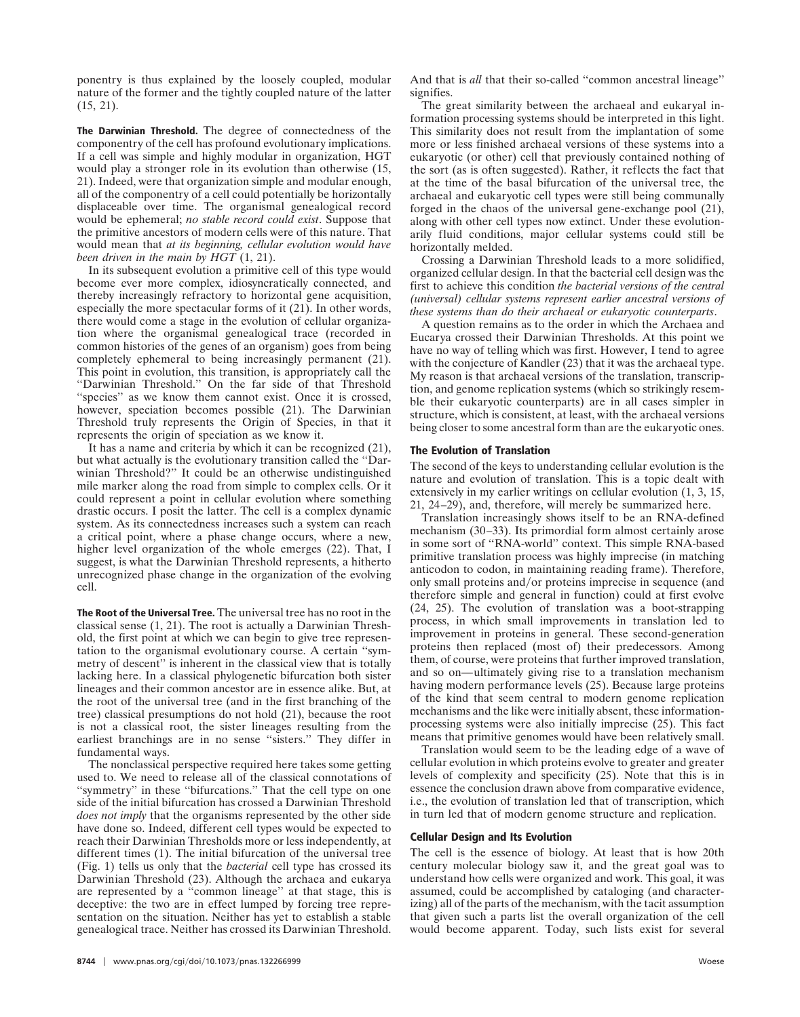ponentry is thus explained by the loosely coupled, modular nature of the former and the tightly coupled nature of the latter (15, 21).

**The Darwinian Threshold.** The degree of connectedness of the componentry of the cell has profound evolutionary implications. If a cell was simple and highly modular in organization, HGT would play a stronger role in its evolution than otherwise (15, 21). Indeed, were that organization simple and modular enough, all of the componentry of a cell could potentially be horizontally displaceable over time. The organismal genealogical record would be ephemeral; *no stable record could exist*. Suppose that the primitive ancestors of modern cells were of this nature. That would mean that *at its beginning, cellular evolution would have been driven in the main by HGT* (1, 21).

In its subsequent evolution a primitive cell of this type would become ever more complex, idiosyncratically connected, and thereby increasingly refractory to horizontal gene acquisition, especially the more spectacular forms of it (21). In other words, there would come a stage in the evolution of cellular organization where the organismal genealogical trace (recorded in common histories of the genes of an organism) goes from being completely ephemeral to being increasingly permanent (21). This point in evolution, this transition, is appropriately call the ''Darwinian Threshold.'' On the far side of that Threshold "species" as we know them cannot exist. Once it is crossed, however, speciation becomes possible (21). The Darwinian Threshold truly represents the Origin of Species, in that it represents the origin of speciation as we know it.

It has a name and criteria by which it can be recognized (21), but what actually is the evolutionary transition called the ''Darwinian Threshold?'' It could be an otherwise undistinguished mile marker along the road from simple to complex cells. Or it could represent a point in cellular evolution where something drastic occurs. I posit the latter. The cell is a complex dynamic system. As its connectedness increases such a system can reach a critical point, where a phase change occurs, where a new, higher level organization of the whole emerges (22). That, I suggest, is what the Darwinian Threshold represents, a hitherto unrecognized phase change in the organization of the evolving cell.

**The Root of the Universal Tree.** The universal tree has no root in the classical sense (1, 21). The root is actually a Darwinian Threshold, the first point at which we can begin to give tree representation to the organismal evolutionary course. A certain ''symmetry of descent'' is inherent in the classical view that is totally lacking here. In a classical phylogenetic bifurcation both sister lineages and their common ancestor are in essence alike. But, at the root of the universal tree (and in the first branching of the tree) classical presumptions do not hold (21), because the root is not a classical root, the sister lineages resulting from the earliest branchings are in no sense ''sisters.'' They differ in fundamental ways.

The nonclassical perspective required here takes some getting used to. We need to release all of the classical connotations of "symmetry" in these "bifurcations." That the cell type on one side of the initial bifurcation has crossed a Darwinian Threshold *does not imply* that the organisms represented by the other side have done so. Indeed, different cell types would be expected to reach their Darwinian Thresholds more or less independently, at different times (1). The initial bifurcation of the universal tree (Fig. 1) tells us only that the *bacterial* cell type has crossed its Darwinian Threshold (23). Although the archaea and eukarya are represented by a ''common lineage'' at that stage, this is deceptive: the two are in effect lumped by forcing tree representation on the situation. Neither has yet to establish a stable genealogical trace. Neither has crossed its Darwinian Threshold.

And that is *all* that their so-called ''common ancestral lineage'' signifies.

The great similarity between the archaeal and eukaryal information processing systems should be interpreted in this light. This similarity does not result from the implantation of some more or less finished archaeal versions of these systems into a eukaryotic (or other) cell that previously contained nothing of the sort (as is often suggested). Rather, it reflects the fact that at the time of the basal bifurcation of the universal tree, the archaeal and eukaryotic cell types were still being communally forged in the chaos of the universal gene-exchange pool (21), along with other cell types now extinct. Under these evolutionarily fluid conditions, major cellular systems could still be horizontally melded.

Crossing a Darwinian Threshold leads to a more solidified, organized cellular design. In that the bacterial cell design was the first to achieve this condition *the bacterial versions of the central (universal) cellular systems represent earlier ancestral versions of these systems than do their archaeal or eukaryotic counterparts*.

A question remains as to the order in which the Archaea and Eucarya crossed their Darwinian Thresholds. At this point we have no way of telling which was first. However, I tend to agree with the conjecture of Kandler (23) that it was the archaeal type. My reason is that archaeal versions of the translation, transcription, and genome replication systems (which so strikingly resemble their eukaryotic counterparts) are in all cases simpler in structure, which is consistent, at least, with the archaeal versions being closer to some ancestral form than are the eukaryotic ones.

### **The Evolution of Translation**

The second of the keys to understanding cellular evolution is the nature and evolution of translation. This is a topic dealt with extensively in my earlier writings on cellular evolution (1, 3, 15, 21, 24–29), and, therefore, will merely be summarized here.

Translation increasingly shows itself to be an RNA-defined mechanism (30–33). Its primordial form almost certainly arose in some sort of ''RNA-world'' context. This simple RNA-based primitive translation process was highly imprecise (in matching anticodon to codon, in maintaining reading frame). Therefore, only small proteins and/or proteins imprecise in sequence (and therefore simple and general in function) could at first evolve (24, 25). The evolution of translation was a boot-strapping process, in which small improvements in translation led to improvement in proteins in general. These second-generation proteins then replaced (most of) their predecessors. Among them, of course, were proteins that further improved translation, and so on—ultimately giving rise to a translation mechanism having modern performance levels (25). Because large proteins of the kind that seem central to modern genome replication mechanisms and the like were initially absent, these informationprocessing systems were also initially imprecise (25). This fact means that primitive genomes would have been relatively small.

Translation would seem to be the leading edge of a wave of cellular evolution in which proteins evolve to greater and greater levels of complexity and specificity (25). Note that this is in essence the conclusion drawn above from comparative evidence, i.e., the evolution of translation led that of transcription, which in turn led that of modern genome structure and replication.

## **Cellular Design and Its Evolution**

The cell is the essence of biology. At least that is how 20th century molecular biology saw it, and the great goal was to understand how cells were organized and work. This goal, it was assumed, could be accomplished by cataloging (and characterizing) all of the parts of the mechanism, with the tacit assumption that given such a parts list the overall organization of the cell would become apparent. Today, such lists exist for several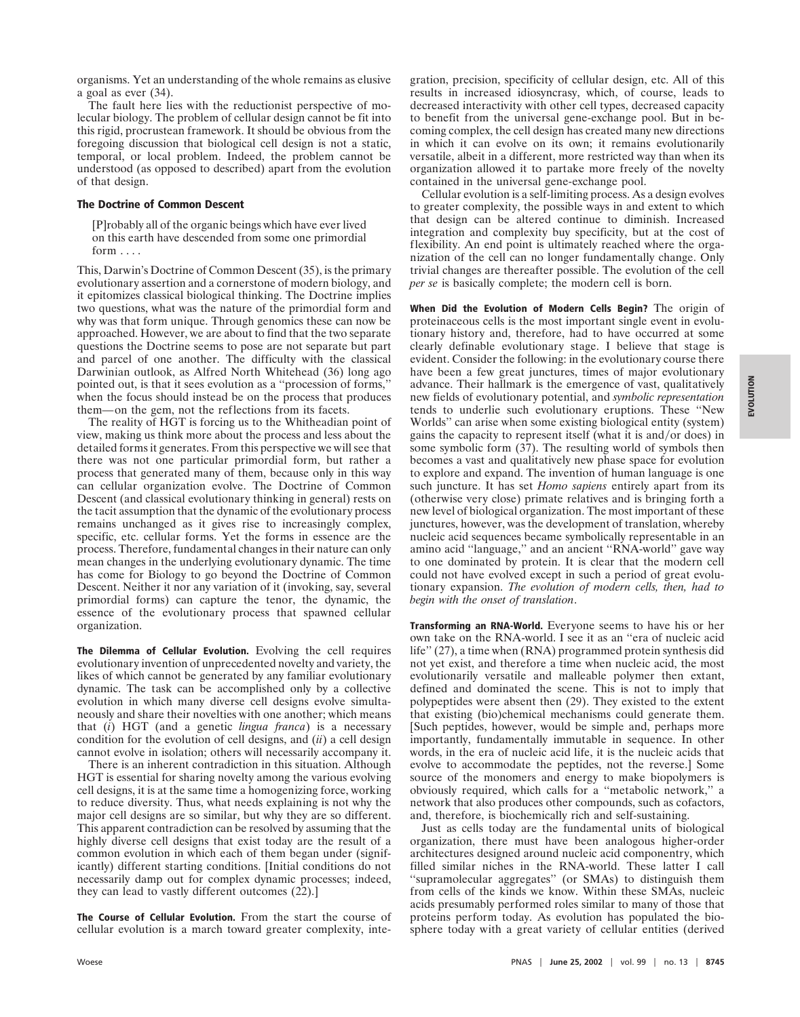organisms. Yet an understanding of the whole remains as elusive a goal as ever (34).

The fault here lies with the reductionist perspective of molecular biology. The problem of cellular design cannot be fit into this rigid, procrustean framework. It should be obvious from the foregoing discussion that biological cell design is not a static, temporal, or local problem. Indeed, the problem cannot be understood (as opposed to described) apart from the evolution of that design.

# **The Doctrine of Common Descent**

[P]robably all of the organic beings which have ever lived on this earth have descended from some one primordial form . . . .

This, Darwin's Doctrine of Common Descent (35), is the primary evolutionary assertion and a cornerstone of modern biology, and it epitomizes classical biological thinking. The Doctrine implies two questions, what was the nature of the primordial form and why was that form unique. Through genomics these can now be approached. However, we are about to find that the two separate questions the Doctrine seems to pose are not separate but part and parcel of one another. The difficulty with the classical Darwinian outlook, as Alfred North Whitehead (36) long ago pointed out, is that it sees evolution as a ''procession of forms,'' when the focus should instead be on the process that produces them—on the gem, not the reflections from its facets.

The reality of HGT is forcing us to the Whitheadian point of view, making us think more about the process and less about the detailed forms it generates. From this perspective we will see that there was not one particular primordial form, but rather a process that generated many of them, because only in this way can cellular organization evolve. The Doctrine of Common Descent (and classical evolutionary thinking in general) rests on the tacit assumption that the dynamic of the evolutionary process remains unchanged as it gives rise to increasingly complex, specific, etc. cellular forms. Yet the forms in essence are the process. Therefore, fundamental changes in their nature can only mean changes in the underlying evolutionary dynamic. The time has come for Biology to go beyond the Doctrine of Common Descent. Neither it nor any variation of it (invoking, say, several primordial forms) can capture the tenor, the dynamic, the essence of the evolutionary process that spawned cellular organization.

**The Dilemma of Cellular Evolution.** Evolving the cell requires evolutionary invention of unprecedented novelty and variety, the likes of which cannot be generated by any familiar evolutionary dynamic. The task can be accomplished only by a collective evolution in which many diverse cell designs evolve simultaneously and share their novelties with one another; which means that (*i*) HGT (and a genetic *lingua franca*) is a necessary condition for the evolution of cell designs, and (*ii*) a cell design cannot evolve in isolation; others will necessarily accompany it.

There is an inherent contradiction in this situation. Although HGT is essential for sharing novelty among the various evolving cell designs, it is at the same time a homogenizing force, working to reduce diversity. Thus, what needs explaining is not why the major cell designs are so similar, but why they are so different. This apparent contradiction can be resolved by assuming that the highly diverse cell designs that exist today are the result of a common evolution in which each of them began under (significantly) different starting conditions. [Initial conditions do not necessarily damp out for complex dynamic processes; indeed, they can lead to vastly different outcomes  $(22)$ .]

**The Course of Cellular Evolution.** From the start the course of cellular evolution is a march toward greater complexity, integration, precision, specificity of cellular design, etc. All of this results in increased idiosyncrasy, which, of course, leads to decreased interactivity with other cell types, decreased capacity to benefit from the universal gene-exchange pool. But in becoming complex, the cell design has created many new directions in which it can evolve on its own; it remains evolutionarily versatile, albeit in a different, more restricted way than when its organization allowed it to partake more freely of the novelty contained in the universal gene-exchange pool.

Cellular evolution is a self-limiting process. As a design evolves to greater complexity, the possible ways in and extent to which that design can be altered continue to diminish. Increased integration and complexity buy specificity, but at the cost of flexibility. An end point is ultimately reached where the organization of the cell can no longer fundamentally change. Only trivial changes are thereafter possible. The evolution of the cell *per se* is basically complete; the modern cell is born.

**When Did the Evolution of Modern Cells Begin?** The origin of proteinaceous cells is the most important single event in evolutionary history and, therefore, had to have occurred at some clearly definable evolutionary stage. I believe that stage is evident. Consider the following: in the evolutionary course there have been a few great junctures, times of major evolutionary advance. Their hallmark is the emergence of vast, qualitatively new fields of evolutionary potential, and *symbolic representation* tends to underlie such evolutionary eruptions. These ''New Worlds'' can arise when some existing biological entity (system) gains the capacity to represent itself (what it is and/or does) in some symbolic form (37). The resulting world of symbols then becomes a vast and qualitatively new phase space for evolution to explore and expand. The invention of human language is one such juncture. It has set *Homo sapiens* entirely apart from its (otherwise very close) primate relatives and is bringing forth a new level of biological organization. The most important of these junctures, however, was the development of translation, whereby nucleic acid sequences became symbolically representable in an amino acid ''language,'' and an ancient ''RNA-world'' gave way to one dominated by protein. It is clear that the modern cell could not have evolved except in such a period of great evolutionary expansion. *The evolution of modern cells, then, had to begin with the onset of translation*.

**Transforming an RNA-World.** Everyone seems to have his or her own take on the RNA-world. I see it as an ''era of nucleic acid life" (27), a time when (RNA) programmed protein synthesis did not yet exist, and therefore a time when nucleic acid, the most evolutionarily versatile and malleable polymer then extant, defined and dominated the scene. This is not to imply that polypeptides were absent then (29). They existed to the extent that existing (bio)chemical mechanisms could generate them. [Such peptides, however, would be simple and, perhaps more importantly, fundamentally immutable in sequence. In other words, in the era of nucleic acid life, it is the nucleic acids that evolve to accommodate the peptides, not the reverse.] Some source of the monomers and energy to make biopolymers is obviously required, which calls for a ''metabolic network,'' a network that also produces other compounds, such as cofactors, and, therefore, is biochemically rich and self-sustaining.

Just as cells today are the fundamental units of biological organization, there must have been analogous higher-order architectures designed around nucleic acid componentry, which filled similar niches in the RNA-world. These latter I call ''supramolecular aggregates'' (or SMAs) to distinguish them from cells of the kinds we know. Within these SMAs, nucleic acids presumably performed roles similar to many of those that proteins perform today. As evolution has populated the biosphere today with a great variety of cellular entities (derived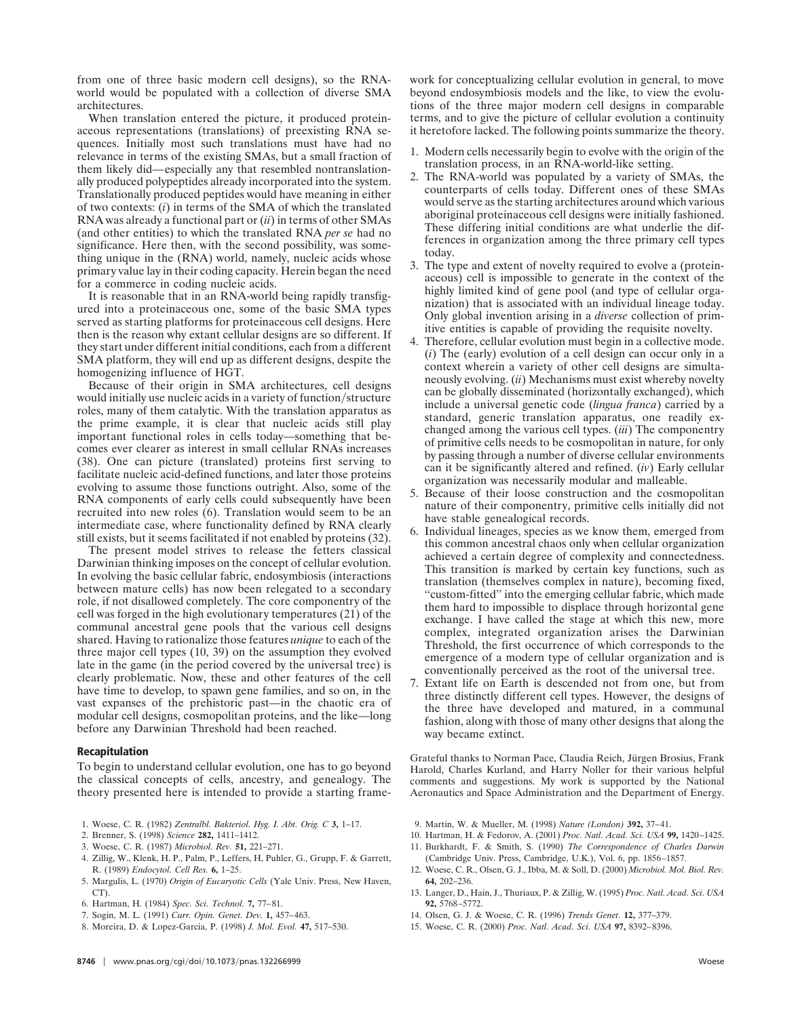from one of three basic modern cell designs), so the RNAworld would be populated with a collection of diverse SMA architectures.

When translation entered the picture, it produced proteinaceous representations (translations) of preexisting RNA sequences. Initially most such translations must have had no relevance in terms of the existing SMAs, but a small fraction of them likely did—especially any that resembled nontranslationally produced polypeptides already incorporated into the system. Translationally produced peptides would have meaning in either of two contexts: (*i*) in terms of the SMA of which the translated RNA was already a functional part or (*ii*) in terms of other SMAs (and other entities) to which the translated RNA *per se* had no significance. Here then, with the second possibility, was something unique in the (RNA) world, namely, nucleic acids whose primary value lay in their coding capacity. Herein began the need for a commerce in coding nucleic acids.

It is reasonable that in an RNA-world being rapidly transfigured into a proteinaceous one, some of the basic SMA types served as starting platforms for proteinaceous cell designs. Here then is the reason why extant cellular designs are so different. If they start under different initial conditions, each from a different SMA platform, they will end up as different designs, despite the homogenizing influence of HGT.

Because of their origin in SMA architectures, cell designs would initially use nucleic acids in a variety of function/structure roles, many of them catalytic. With the translation apparatus as the prime example, it is clear that nucleic acids still play important functional roles in cells today—something that becomes ever clearer as interest in small cellular RNAs increases (38). One can picture (translated) proteins first serving to facilitate nucleic acid-defined functions, and later those proteins evolving to assume those functions outright. Also, some of the RNA components of early cells could subsequently have been recruited into new roles (6). Translation would seem to be an intermediate case, where functionality defined by RNA clearly still exists, but it seems facilitated if not enabled by proteins (32).

The present model strives to release the fetters classical Darwinian thinking imposes on the concept of cellular evolution. In evolving the basic cellular fabric, endosymbiosis (interactions between mature cells) has now been relegated to a secondary role, if not disallowed completely. The core componentry of the cell was forged in the high evolutionary temperatures (21) of the communal ancestral gene pools that the various cell designs shared. Having to rationalize those features *unique* to each of the three major cell types (10, 39) on the assumption they evolved late in the game (in the period covered by the universal tree) is clearly problematic. Now, these and other features of the cell have time to develop, to spawn gene families, and so on, in the vast expanses of the prehistoric past—in the chaotic era of modular cell designs, cosmopolitan proteins, and the like—long before any Darwinian Threshold had been reached.

#### **Recapitulation**

To begin to understand cellular evolution, one has to go beyond the classical concepts of cells, ancestry, and genealogy. The theory presented here is intended to provide a starting frame-

- 1. Woese, C. R. (1982) *Zentralbl. Bakteriol. Hyg. I. Abt. Orig. C* **3,** 1–17.
- 2. Brenner, S. (1998) *Science* **282,** 1411–1412.
- 3. Woese, C. R. (1987) *Microbiol. Rev.* **51,** 221–271.
- 4. Zillig, W., Klenk, H. P., Palm, P., Leffers, H, Puhler, G., Grupp, F. & Garrett, R. (1989) *Endocytol. Cell Res.* **6,** 1–25.
- 5. Margulis, L. (1970) *Origin of Eucaryotic Cells* (Yale Univ. Press, New Haven, CT).
- 6. Hartman, H. (1984) *Spec. Sci. Technol.* **7,** 77–81.
- 7. Sogin, M. L. (1991) *Curr. Opin. Genet. Dev.* **1,** 457–463.
- 8. Moreira, D. & Lopez-Garcia, P. (1998) *J. Mol. Evol.* **47,** 517–530.

work for conceptualizing cellular evolution in general, to move beyond endosymbiosis models and the like, to view the evolutions of the three major modern cell designs in comparable terms, and to give the picture of cellular evolution a continuity it heretofore lacked. The following points summarize the theory.

- 1. Modern cells necessarily begin to evolve with the origin of the translation process, in an RNA-world-like setting.
- 2. The RNA-world was populated by a variety of SMAs, the counterparts of cells today. Different ones of these SMAs would serve as the starting architectures around which various aboriginal proteinaceous cell designs were initially fashioned. These differing initial conditions are what underlie the differences in organization among the three primary cell types today.
- 3. The type and extent of novelty required to evolve a (proteinaceous) cell is impossible to generate in the context of the highly limited kind of gene pool (and type of cellular organization) that is associated with an individual lineage today. Only global invention arising in a *diverse* collection of primitive entities is capable of providing the requisite novelty.
- 4. Therefore, cellular evolution must begin in a collective mode. (*i*) The (early) evolution of a cell design can occur only in a context wherein a variety of other cell designs are simultaneously evolving. (*ii*) Mechanisms must exist whereby novelty can be globally disseminated (horizontally exchanged), which include a universal genetic code (*lingua franca*) carried by a standard, generic translation apparatus, one readily exchanged among the various cell types. (*iii*) The componentry of primitive cells needs to be cosmopolitan in nature, for only by passing through a number of diverse cellular environments can it be significantly altered and refined. (*iv*) Early cellular organization was necessarily modular and malleable.
- 5. Because of their loose construction and the cosmopolitan nature of their componentry, primitive cells initially did not have stable genealogical records.
- 6. Individual lineages, species as we know them, emerged from this common ancestral chaos only when cellular organization achieved a certain degree of complexity and connectedness. This transition is marked by certain key functions, such as translation (themselves complex in nature), becoming fixed, ''custom-fitted'' into the emerging cellular fabric, which made them hard to impossible to displace through horizontal gene exchange. I have called the stage at which this new, more complex, integrated organization arises the Darwinian Threshold, the first occurrence of which corresponds to the emergence of a modern type of cellular organization and is conventionally perceived as the root of the universal tree.
- 7. Extant life on Earth is descended not from one, but from three distinctly different cell types. However, the designs of the three have developed and matured, in a communal fashion, along with those of many other designs that along the way became extinct.

Grateful thanks to Norman Pace, Claudia Reich, Jürgen Brosius, Frank Harold, Charles Kurland, and Harry Noller for their various helpful comments and suggestions. My work is supported by the National Aeronautics and Space Administration and the Department of Energy.

- 9. Martin, W. & Mueller, M. (1998) *Nature (London)* **392,** 37–41.
- 10. Hartman, H. & Fedorov, A. (2001) *Proc. Natl. Acad. Sci. USA* **99,** 1420–1425.
- 11. Burkhardt, F. & Smith, S. (1990) *The Correspondence of Charles Darwin* (Cambridge Univ. Press, Cambridge, U.K.), Vol. 6, pp. 1856–1857.
- 12. Woese, C. R., Olsen, G. J., Ibba, M. & Soll, D. (2000) *Microbiol. Mol. Biol. Rev.* **64,** 202–236.
- 13. Langer, D., Hain, J., Thuriaux, P. & Zillig, W. (1995) *Proc. Natl. Acad. Sci. USA* **92,** 5768–5772.
- 14. Olsen, G. J. & Woese, C. R. (1996) *Trends Genet.* **12,** 377–379.
- 15. Woese, C. R. (2000) *Proc. Natl. Acad. Sci. USA* **97,** 8392–8396.